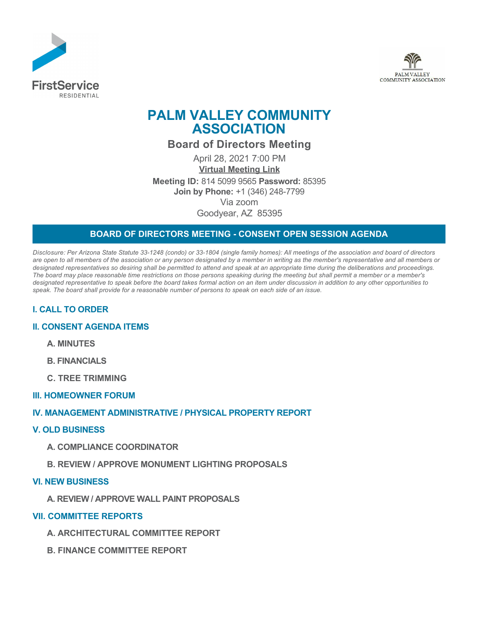



# **PALM VALLEY COMMUNITY ASSOCIATION**

**Board of Directors Meeting**

April 28, 2021 7:00 PM **[Virtual Meeting Link](https://zoom.us/j/81450999565) Meeting ID:** 814 5099 9565 **Password:** 85395 **Join by Phone:** +1 (346) 248-7799 Via zoom Goodyear, AZ 85395

# **BOARD OF DIRECTORS MEETING - CONSENT OPEN SESSION AGENDA**

*Disclosure: Per Arizona State Statute 33-1248 (condo) or 33-1804 (single family homes): All meetings of the association and board of directors are open to all members of the association or any person designated by a member in writing as the member's representative and all members or designated representatives so desiring shall be permitted to attend and speak at an appropriate time during the deliberations and proceedings. The board may place reasonable time restrictions on those persons speaking during the meeting but shall permit a member or a member's designated representative to speak before the board takes formal action on an item under discussion in addition to any other opportunities to speak. The board shall provide for a reasonable number of persons to speak on each side of an issue.* 

# **I. CALL TO ORDER**

## **II. CONSENT AGENDA ITEMS**

- **A. MINUTES**
- **B. FINANCIALS**
- **C. TREE TRIMMING**

#### **III. HOMEOWNER FORUM**

## **IV. MANAGEMENT ADMINISTRATIVE / PHYSICAL PROPERTY REPORT**

#### **V. OLD BUSINESS**

- **A. COMPLIANCE COORDINATOR**
- **B. REVIEW / APPROVE MONUMENT LIGHTING PROPOSALS**

#### **VI. NEW BUSINESS**

**A. REVIEW / APPROVE WALL PAINT PROPOSALS**

#### **VII. COMMITTEE REPORTS**

- **A. ARCHITECTURAL COMMITTEE REPORT**
- **B. FINANCE COMMITTEE REPORT**